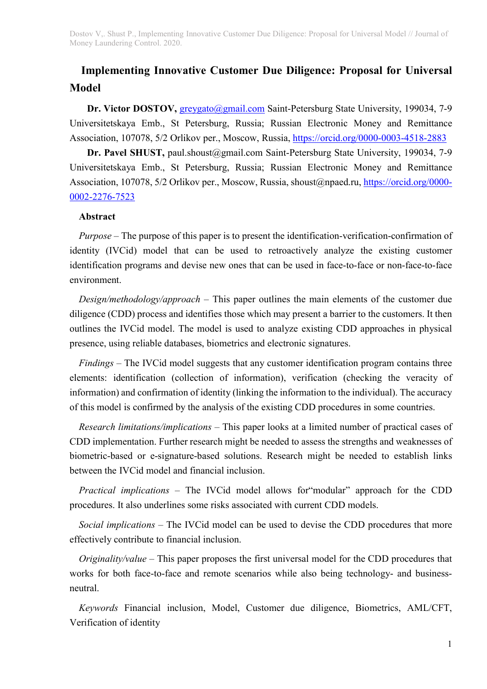# Implementing Innovative Customer Due Diligence: Proposal for Universal Model

Dr. Victor DOSTOV, greygato@gmail.com Saint-Petersburg State University, 199034, 7-9 Universitetskaya Emb., St Petersburg, Russia; Russian Electronic Money and Remittance Association, 107078, 5/2 Orlikov per., Moscow, Russia, https://orcid.org/0000-0003-4518-2883

Dr. Pavel SHUST, paul.shoust@gmail.com Saint-Petersburg State University, 199034, 7-9 Universitetskaya Emb., St Petersburg, Russia; Russian Electronic Money and Remittance Association, 107078, 5/2 Orlikov per., Moscow, Russia, shoust@npaed.ru, https://orcid.org/0000-0002-2276-7523

#### Abstract

Purpose – The purpose of this paper is to present the identification-verification-confirmation of identity (IVCid) model that can be used to retroactively analyze the existing customer identification programs and devise new ones that can be used in face-to-face or non-face-to-face environment.

Design/methodology/approach – This paper outlines the main elements of the customer due diligence (CDD) process and identifies those which may present a barrier to the customers. It then outlines the IVCid model. The model is used to analyze existing CDD approaches in physical presence, using reliable databases, biometrics and electronic signatures.

Findings – The IVCid model suggests that any customer identification program contains three elements: identification (collection of information), verification (checking the veracity of information) and confirmation of identity (linking the information to the individual). The accuracy of this model is confirmed by the analysis of the existing CDD procedures in some countries.

Research limitations/implications – This paper looks at a limited number of practical cases of CDD implementation. Further research might be needed to assess the strengths and weaknesses of biometric-based or e-signature-based solutions. Research might be needed to establish links between the IVCid model and financial inclusion.

Practical implications – The IVCid model allows for"modular" approach for the CDD procedures. It also underlines some risks associated with current CDD models.

Social implications – The IVCid model can be used to devise the CDD procedures that more effectively contribute to financial inclusion.

*Originality/value* – This paper proposes the first universal model for the CDD procedures that works for both face-to-face and remote scenarios while also being technology- and businessneutral.

Keywords Financial inclusion, Model, Customer due diligence, Biometrics, AML/CFT, Verification of identity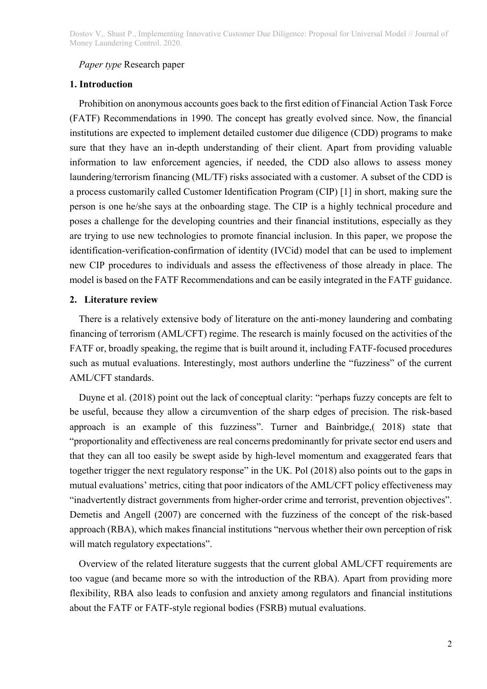#### Paper type Research paper

### 1. Introduction

Prohibition on anonymous accounts goes back to the first edition of Financial Action Task Force (FATF) Recommendations in 1990. The concept has greatly evolved since. Now, the financial institutions are expected to implement detailed customer due diligence (CDD) programs to make sure that they have an in-depth understanding of their client. Apart from providing valuable information to law enforcement agencies, if needed, the CDD also allows to assess money laundering/terrorism financing (ML/TF) risks associated with a customer. A subset of the CDD is a process customarily called Customer Identification Program (CIP) [1] in short, making sure the person is one he/she says at the onboarding stage. The CIP is a highly technical procedure and poses a challenge for the developing countries and their financial institutions, especially as they are trying to use new technologies to promote financial inclusion. In this paper, we propose the identification-verification-confirmation of identity (IVCid) model that can be used to implement new CIP procedures to individuals and assess the effectiveness of those already in place. The model is based on the FATF Recommendations and can be easily integrated in the FATF guidance.

# 2. Literature review

There is a relatively extensive body of literature on the anti-money laundering and combating financing of terrorism (AML/CFT) regime. The research is mainly focused on the activities of the FATF or, broadly speaking, the regime that is built around it, including FATF-focused procedures such as mutual evaluations. Interestingly, most authors underline the "fuzziness" of the current AML/CFT standards.

Duyne et al. (2018) point out the lack of conceptual clarity: "perhaps fuzzy concepts are felt to be useful, because they allow a circumvention of the sharp edges of precision. The risk-based approach is an example of this fuzziness". Turner and Bainbridge,( 2018) state that "proportionality and effectiveness are real concerns predominantly for private sector end users and that they can all too easily be swept aside by high-level momentum and exaggerated fears that together trigger the next regulatory response" in the UK. Pol (2018) also points out to the gaps in mutual evaluations' metrics, citing that poor indicators of the AML/CFT policy effectiveness may "inadvertently distract governments from higher-order crime and terrorist, prevention objectives". Demetis and Angell (2007) are concerned with the fuzziness of the concept of the risk-based approach (RBA), which makes financial institutions "nervous whether their own perception of risk will match regulatory expectations".

Overview of the related literature suggests that the current global AML/CFT requirements are too vague (and became more so with the introduction of the RBA). Apart from providing more flexibility, RBA also leads to confusion and anxiety among regulators and financial institutions about the FATF or FATF-style regional bodies (FSRB) mutual evaluations.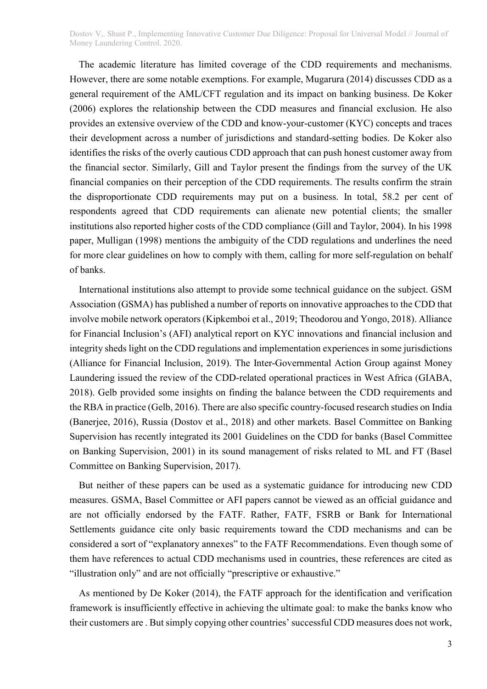The academic literature has limited coverage of the CDD requirements and mechanisms. However, there are some notable exemptions. For example, Mugarura (2014) discusses CDD as a general requirement of the AML/CFT regulation and its impact on banking business. De Koker (2006) explores the relationship between the CDD measures and financial exclusion. He also provides an extensive overview of the CDD and know-your-customer (KYC) concepts and traces their development across a number of jurisdictions and standard-setting bodies. De Koker also identifies the risks of the overly cautious CDD approach that can push honest customer away from the financial sector. Similarly, Gill and Taylor present the findings from the survey of the UK financial companies on their perception of the CDD requirements. The results confirm the strain the disproportionate CDD requirements may put on a business. In total, 58.2 per cent of respondents agreed that CDD requirements can alienate new potential clients; the smaller institutions also reported higher costs of the CDD compliance (Gill and Taylor, 2004). In his 1998 paper, Mulligan (1998) mentions the ambiguity of the CDD regulations and underlines the need for more clear guidelines on how to comply with them, calling for more self-regulation on behalf of banks.

International institutions also attempt to provide some technical guidance on the subject. GSM Association (GSMA) has published a number of reports on innovative approaches to the CDD that involve mobile network operators (Kipkemboi et al., 2019; Theodorou and Yongo, 2018). Alliance for Financial Inclusion's (AFI) analytical report on KYC innovations and financial inclusion and integrity sheds light on the CDD regulations and implementation experiences in some jurisdictions (Alliance for Financial Inclusion, 2019). The Inter-Governmental Action Group against Money Laundering issued the review of the CDD-related operational practices in West Africa (GIABA, 2018). Gelb provided some insights on finding the balance between the CDD requirements and the RBA in practice (Gelb, 2016). There are also specific country-focused research studies on India (Banerjee, 2016), Russia (Dostov et al., 2018) and other markets. Basel Committee on Banking Supervision has recently integrated its 2001 Guidelines on the CDD for banks (Basel Committee on Banking Supervision, 2001) in its sound management of risks related to ML and FT (Basel Committee on Banking Supervision, 2017).

But neither of these papers can be used as a systematic guidance for introducing new CDD measures. GSMA, Basel Committee or AFI papers cannot be viewed as an official guidance and are not officially endorsed by the FATF. Rather, FATF, FSRB or Bank for International Settlements guidance cite only basic requirements toward the CDD mechanisms and can be considered a sort of "explanatory annexes" to the FATF Recommendations. Even though some of them have references to actual CDD mechanisms used in countries, these references are cited as "illustration only" and are not officially "prescriptive or exhaustive."

As mentioned by De Koker (2014), the FATF approach for the identification and verification framework is insufficiently effective in achieving the ultimate goal: to make the banks know who their customers are . But simply copying other countries' successful CDD measures does not work,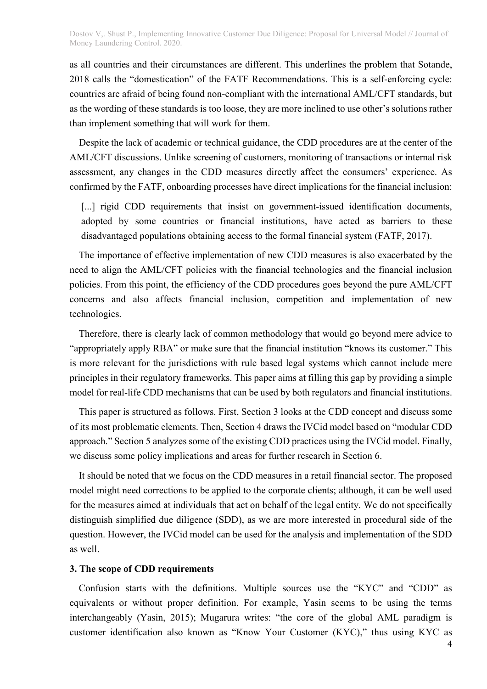as all countries and their circumstances are different. This underlines the problem that Sotande, 2018 calls the "domestication" of the FATF Recommendations. This is a self-enforcing cycle: countries are afraid of being found non-compliant with the international AML/CFT standards, but as the wording of these standards is too loose, they are more inclined to use other's solutions rather than implement something that will work for them.

Despite the lack of academic or technical guidance, the CDD procedures are at the center of the AML/CFT discussions. Unlike screening of customers, monitoring of transactions or internal risk assessment, any changes in the CDD measures directly affect the consumers' experience. As confirmed by the FATF, onboarding processes have direct implications for the financial inclusion:

[...] rigid CDD requirements that insist on government-issued identification documents, adopted by some countries or financial institutions, have acted as barriers to these disadvantaged populations obtaining access to the formal financial system (FATF, 2017).

The importance of effective implementation of new CDD measures is also exacerbated by the need to align the AML/CFT policies with the financial technologies and the financial inclusion policies. From this point, the efficiency of the CDD procedures goes beyond the pure AML/CFT concerns and also affects financial inclusion, competition and implementation of new technologies.

Therefore, there is clearly lack of common methodology that would go beyond mere advice to "appropriately apply RBA" or make sure that the financial institution "knows its customer." This is more relevant for the jurisdictions with rule based legal systems which cannot include mere principles in their regulatory frameworks. This paper aims at filling this gap by providing a simple model for real-life CDD mechanisms that can be used by both regulators and financial institutions.

This paper is structured as follows. First, Section 3 looks at the CDD concept and discuss some of its most problematic elements. Then, Section 4 draws the IVCid model based on "modular CDD approach." Section 5 analyzes some of the existing CDD practices using the IVCid model. Finally, we discuss some policy implications and areas for further research in Section 6.

It should be noted that we focus on the CDD measures in a retail financial sector. The proposed model might need corrections to be applied to the corporate clients; although, it can be well used for the measures aimed at individuals that act on behalf of the legal entity. We do not specifically distinguish simplified due diligence (SDD), as we are more interested in procedural side of the question. However, the IVCid model can be used for the analysis and implementation of the SDD as well.

## 3. The scope of CDD requirements

Confusion starts with the definitions. Multiple sources use the "KYC" and "CDD" as equivalents or without proper definition. For example, Yasin seems to be using the terms interchangeably (Yasin, 2015); Mugarura writes: "the core of the global AML paradigm is customer identification also known as "Know Your Customer (KYC)," thus using KYC as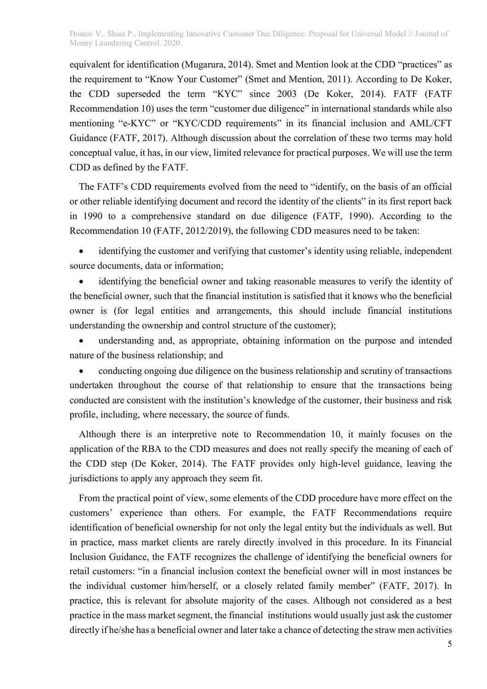equivalent for identification (Mugarura, 2014). Smet and Mention look at the CDD "practices" as the requirement to "Know Your Customer" (Smet and Mention, 2011). According to De Koker, the CDD superseded the term "KYC" since 2003 (De Koker, 2014). FATF (FATF Recommendation 10) uses the term "customer due diligence" in international standards while also mentioning "e-KYC" or "KYC/CDD requirements" in its financial inclusion and AML/CFT Guidance (FATF, 2017). Although discussion about the correlation of these two terms may hold conceptual value, it has, in our view, limited relevance for practical purposes. We will use the term CDD as defined by the FATF.

The FATF's CDD requirements evolved from the need to "identify, on the basis of an official or other reliable identifying document and record the identity of the clients" in its first report back in 1990 to a comprehensive standard on due diligence (FATF, 1990). According to the Recommendation 10 (FATF, 2012/2019), the following CDD measures need to be taken:

 identifying the customer and verifying that customer's identity using reliable, independent source documents, data or information;

 identifying the beneficial owner and taking reasonable measures to verify the identity of the beneficial owner, such that the financial institution is satisfied that it knows who the beneficial owner is (for legal entities and arrangements, this should include financial institutions understanding the ownership and control structure of the customer);

 understanding and, as appropriate, obtaining information on the purpose and intended nature of the business relationship; and

 conducting ongoing due diligence on the business relationship and scrutiny of transactions undertaken throughout the course of that relationship to ensure that the transactions being conducted are consistent with the institution's knowledge of the customer, their business and risk profile, including, where necessary, the source of funds.

Although there is an interpretive note to Recommendation 10, it mainly focuses on the application of the RBA to the CDD measures and does not really specify the meaning of each of the CDD step (De Koker, 2014). The FATF provides only high-level guidance, leaving the jurisdictions to apply any approach they seem fit.

From the practical point of view, some elements of the CDD procedure have more effect on the customers' experience than others. For example, the FATF Recommendations require identification of beneficial ownership for not only the legal entity but the individuals as well. But in practice, mass market clients are rarely directly involved in this procedure. In its Financial Inclusion Guidance, the FATF recognizes the challenge of identifying the beneficial owners for retail customers: "in a financial inclusion context the beneficial owner will in most instances be the individual customer him/herself, or a closely related family member" (FATF, 2017). In practice, this is relevant for absolute majority of the cases. Although not considered as a best practice in the mass market segment, the financial institutions would usually just ask the customer directly if he/she has a beneficial owner and later take a chance of detecting the straw men activities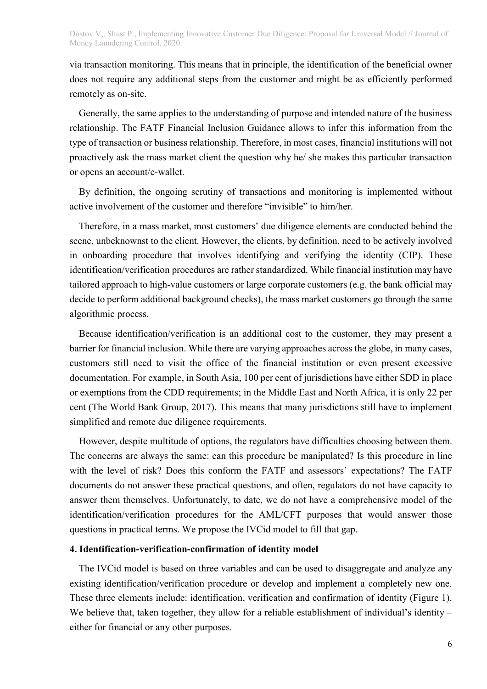via transaction monitoring. This means that in principle, the identification of the beneficial owner does not require any additional steps from the customer and might be as efficiently performed remotely as on-site.

Generally, the same applies to the understanding of purpose and intended nature of the business relationship. The FATF Financial Inclusion Guidance allows to infer this information from the type of transaction or business relationship. Therefore, in most cases, financial institutions will not proactively ask the mass market client the question why he/ she makes this particular transaction or opens an account/e-wallet.

By definition, the ongoing scrutiny of transactions and monitoring is implemented without active involvement of the customer and therefore "invisible" to him/her.

Therefore, in a mass market, most customers' due diligence elements are conducted behind the scene, unbeknownst to the client. However, the clients, by definition, need to be actively involved in onboarding procedure that involves identifying and verifying the identity (CIP). These identification/verification procedures are rather standardized. While financial institution may have tailored approach to high-value customers or large corporate customers (e.g. the bank official may decide to perform additional background checks), the mass market customers go through the same algorithmic process.

Because identification/verification is an additional cost to the customer, they may present a barrier for financial inclusion. While there are varying approaches across the globe, in many cases, customers still need to visit the office of the financial institution or even present excessive documentation. For example, in South Asia, 100 per cent of jurisdictions have either SDD in place or exemptions from the CDD requirements; in the Middle East and North Africa, it is only 22 per cent (The World Bank Group, 2017). This means that many jurisdictions still have to implement simplified and remote due diligence requirements.

However, despite multitude of options, the regulators have difficulties choosing between them. The concerns are always the same: can this procedure be manipulated? Is this procedure in line with the level of risk? Does this conform the FATF and assessors' expectations? The FATF documents do not answer these practical questions, and often, regulators do not have capacity to answer them themselves. Unfortunately, to date, we do not have a comprehensive model of the identification/verification procedures for the AML/CFT purposes that would answer those questions in practical terms. We propose the IVCid model to fill that gap.

### 4. Identification-verification-confirmation of identity model

The IVCid model is based on three variables and can be used to disaggregate and analyze any existing identification/verification procedure or develop and implement a completely new one. These three elements include: identification, verification and confirmation of identity (Figure 1). We believe that, taken together, they allow for a reliable establishment of individual's identity – either for financial or any other purposes.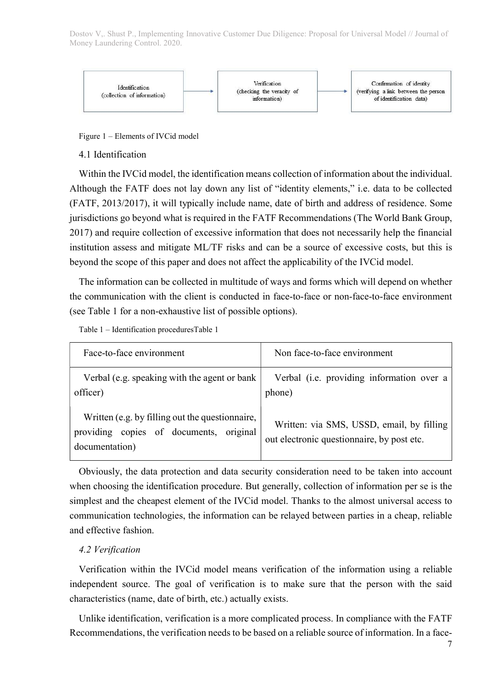

Figure 1 – Elements of IVCid model

### 4.1 Identification

Within the IVCid model, the identification means collection of information about the individual. Although the FATF does not lay down any list of "identity elements," i.e. data to be collected (FATF, 2013/2017), it will typically include name, date of birth and address of residence. Some jurisdictions go beyond what is required in the FATF Recommendations (The World Bank Group, 2017) and require collection of excessive information that does not necessarily help the financial institution assess and mitigate ML/TF risks and can be a source of excessive costs, but this is beyond the scope of this paper and does not affect the applicability of the IVCid model.

The information can be collected in multitude of ways and forms which will depend on whether the communication with the client is conducted in face-to-face or non-face-to-face environment (see Table 1 for a non-exhaustive list of possible options).

Table 1 – Identification proceduresTable 1

| Face-to-face environment                                                                                     | Non face-to-face environment                                                            |
|--------------------------------------------------------------------------------------------------------------|-----------------------------------------------------------------------------------------|
| Verbal (e.g. speaking with the agent or bank<br>officer)                                                     | Verbal (i.e. providing information over a<br>phone)                                     |
| Written (e.g. by filling out the questionnaire,<br>providing copies of documents, original<br>documentation) | Written: via SMS, USSD, email, by filling<br>out electronic questionnaire, by post etc. |

Obviously, the data protection and data security consideration need to be taken into account when choosing the identification procedure. But generally, collection of information per se is the simplest and the cheapest element of the IVCid model. Thanks to the almost universal access to communication technologies, the information can be relayed between parties in a cheap, reliable and effective fashion.

# 4.2 Verification

Verification within the IVCid model means verification of the information using a reliable independent source. The goal of verification is to make sure that the person with the said characteristics (name, date of birth, etc.) actually exists.

Unlike identification, verification is a more complicated process. In compliance with the FATF Recommendations, the verification needs to be based on a reliable source of information. In a face-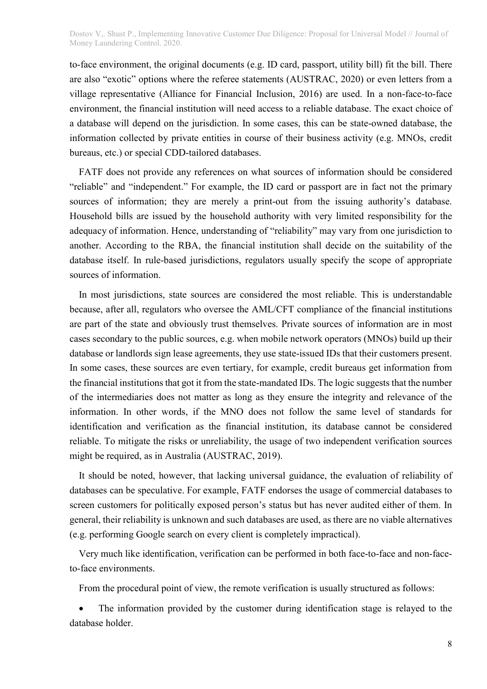to-face environment, the original documents (e.g. ID card, passport, utility bill) fit the bill. There are also "exotic" options where the referee statements (AUSTRAC, 2020) or even letters from a village representative (Alliance for Financial Inclusion, 2016) are used. In a non-face-to-face environment, the financial institution will need access to a reliable database. The exact choice of a database will depend on the jurisdiction. In some cases, this can be state-owned database, the information collected by private entities in course of their business activity (e.g. MNOs, credit bureaus, etc.) or special CDD-tailored databases.

FATF does not provide any references on what sources of information should be considered "reliable" and "independent." For example, the ID card or passport are in fact not the primary sources of information; they are merely a print-out from the issuing authority's database. Household bills are issued by the household authority with very limited responsibility for the adequacy of information. Hence, understanding of "reliability" may vary from one jurisdiction to another. According to the RBA, the financial institution shall decide on the suitability of the database itself. In rule-based jurisdictions, regulators usually specify the scope of appropriate sources of information.

In most jurisdictions, state sources are considered the most reliable. This is understandable because, after all, regulators who oversee the AML/CFT compliance of the financial institutions are part of the state and obviously trust themselves. Private sources of information are in most cases secondary to the public sources, e.g. when mobile network operators (MNOs) build up their database or landlords sign lease agreements, they use state-issued IDs that their customers present. In some cases, these sources are even tertiary, for example, credit bureaus get information from the financial institutions that got it from the state-mandated IDs. The logic suggests that the number of the intermediaries does not matter as long as they ensure the integrity and relevance of the information. In other words, if the MNO does not follow the same level of standards for identification and verification as the financial institution, its database cannot be considered reliable. To mitigate the risks or unreliability, the usage of two independent verification sources might be required, as in Australia (AUSTRAC, 2019).

It should be noted, however, that lacking universal guidance, the evaluation of reliability of databases can be speculative. For example, FATF endorses the usage of commercial databases to screen customers for politically exposed person's status but has never audited either of them. In general, their reliability is unknown and such databases are used, as there are no viable alternatives (e.g. performing Google search on every client is completely impractical).

Very much like identification, verification can be performed in both face-to-face and non-faceto-face environments.

From the procedural point of view, the remote verification is usually structured as follows:

 The information provided by the customer during identification stage is relayed to the database holder.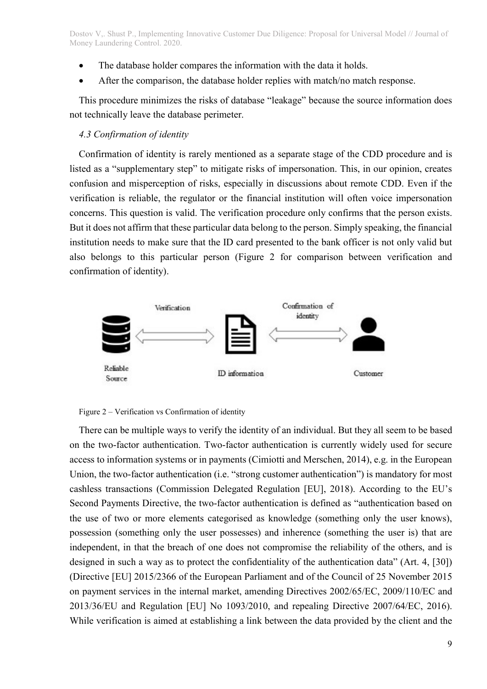- The database holder compares the information with the data it holds.
- After the comparison, the database holder replies with match/no match response.

This procedure minimizes the risks of database "leakage" because the source information does not technically leave the database perimeter.

## 4.3 Confirmation of identity

Confirmation of identity is rarely mentioned as a separate stage of the CDD procedure and is listed as a "supplementary step" to mitigate risks of impersonation. This, in our opinion, creates confusion and misperception of risks, especially in discussions about remote CDD. Even if the verification is reliable, the regulator or the financial institution will often voice impersonation concerns. This question is valid. The verification procedure only confirms that the person exists. But it does not affirm that these particular data belong to the person. Simply speaking, the financial institution needs to make sure that the ID card presented to the bank officer is not only valid but also belongs to this particular person (Figure 2 for comparison between verification and confirmation of identity).



Figure 2 – Verification vs Confirmation of identity

There can be multiple ways to verify the identity of an individual. But they all seem to be based on the two-factor authentication. Two-factor authentication is currently widely used for secure access to information systems or in payments (Cimiotti and Merschen, 2014), e.g. in the European Union, the two-factor authentication (i.e. "strong customer authentication") is mandatory for most cashless transactions (Commission Delegated Regulation [EU], 2018). According to the EU's Second Payments Directive, the two-factor authentication is defined as "authentication based on the use of two or more elements categorised as knowledge (something only the user knows), possession (something only the user possesses) and inherence (something the user is) that are independent, in that the breach of one does not compromise the reliability of the others, and is designed in such a way as to protect the confidentiality of the authentication data" (Art. 4, [30]) (Directive [EU] 2015/2366 of the European Parliament and of the Council of 25 November 2015 on payment services in the internal market, amending Directives 2002/65/EC, 2009/110/EC and 2013/36/EU and Regulation [EU] No 1093/2010, and repealing Directive 2007/64/EC, 2016). While verification is aimed at establishing a link between the data provided by the client and the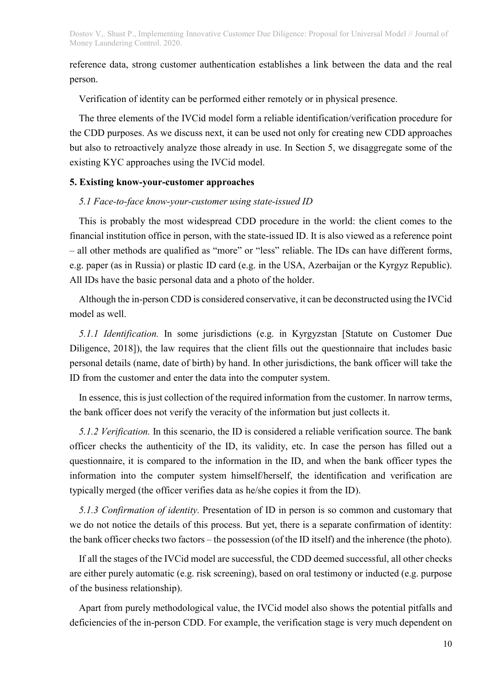reference data, strong customer authentication establishes a link between the data and the real person.

Verification of identity can be performed either remotely or in physical presence.

The three elements of the IVCid model form a reliable identification/verification procedure for the CDD purposes. As we discuss next, it can be used not only for creating new CDD approaches but also to retroactively analyze those already in use. In Section 5, we disaggregate some of the existing KYC approaches using the IVCid model.

#### 5. Existing know-your-customer approaches

### 5.1 Face-to-face know-your-customer using state-issued ID

This is probably the most widespread CDD procedure in the world: the client comes to the financial institution office in person, with the state-issued ID. It is also viewed as a reference point – all other methods are qualified as "more" or "less" reliable. The IDs can have different forms, e.g. paper (as in Russia) or plastic ID card (e.g. in the USA, Azerbaijan or the Kyrgyz Republic). All IDs have the basic personal data and a photo of the holder.

Although the in-person CDD is considered conservative, it can be deconstructed using the IVCid model as well.

5.1.1 Identification. In some jurisdictions (e.g. in Kyrgyzstan [Statute on Customer Due Diligence, 2018]), the law requires that the client fills out the questionnaire that includes basic personal details (name, date of birth) by hand. In other jurisdictions, the bank officer will take the ID from the customer and enter the data into the computer system.

In essence, this is just collection of the required information from the customer. In narrow terms, the bank officer does not verify the veracity of the information but just collects it.

5.1.2 Verification. In this scenario, the ID is considered a reliable verification source. The bank officer checks the authenticity of the ID, its validity, etc. In case the person has filled out a questionnaire, it is compared to the information in the ID, and when the bank officer types the information into the computer system himself/herself, the identification and verification are typically merged (the officer verifies data as he/she copies it from the ID).

5.1.3 Confirmation of identity. Presentation of ID in person is so common and customary that we do not notice the details of this process. But yet, there is a separate confirmation of identity: the bank officer checks two factors – the possession (of the ID itself) and the inherence (the photo).

If all the stages of the IVCid model are successful, the CDD deemed successful, all other checks are either purely automatic (e.g. risk screening), based on oral testimony or inducted (e.g. purpose of the business relationship).

Apart from purely methodological value, the IVCid model also shows the potential pitfalls and deficiencies of the in-person CDD. For example, the verification stage is very much dependent on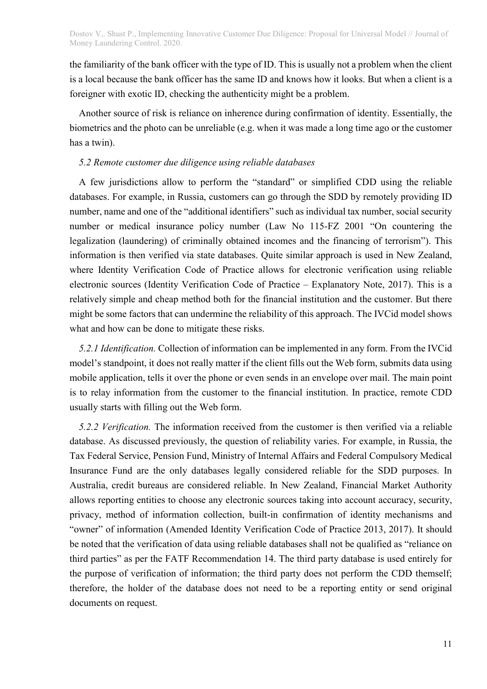the familiarity of the bank officer with the type of ID. This is usually not a problem when the client is a local because the bank officer has the same ID and knows how it looks. But when a client is a foreigner with exotic ID, checking the authenticity might be a problem.

Another source of risk is reliance on inherence during confirmation of identity. Essentially, the biometrics and the photo can be unreliable (e.g. when it was made a long time ago or the customer has a twin).

# 5.2 Remote customer due diligence using reliable databases

A few jurisdictions allow to perform the "standard" or simplified CDD using the reliable databases. For example, in Russia, customers can go through the SDD by remotely providing ID number, name and one of the "additional identifiers" such as individual tax number, social security number or medical insurance policy number (Law No 115-FZ 2001 "On countering the legalization (laundering) of criminally obtained incomes and the financing of terrorism"). This information is then verified via state databases. Quite similar approach is used in New Zealand, where Identity Verification Code of Practice allows for electronic verification using reliable electronic sources (Identity Verification Code of Practice – Explanatory Note, 2017). This is a relatively simple and cheap method both for the financial institution and the customer. But there might be some factors that can undermine the reliability of this approach. The IVCid model shows what and how can be done to mitigate these risks.

5.2.1 Identification. Collection of information can be implemented in any form. From the IVCid model's standpoint, it does not really matter if the client fills out the Web form, submits data using mobile application, tells it over the phone or even sends in an envelope over mail. The main point is to relay information from the customer to the financial institution. In practice, remote CDD usually starts with filling out the Web form.

5.2.2 Verification. The information received from the customer is then verified via a reliable database. As discussed previously, the question of reliability varies. For example, in Russia, the Tax Federal Service, Pension Fund, Ministry of Internal Affairs and Federal Compulsory Medical Insurance Fund are the only databases legally considered reliable for the SDD purposes. In Australia, credit bureaus are considered reliable. In New Zealand, Financial Market Authority allows reporting entities to choose any electronic sources taking into account accuracy, security, privacy, method of information collection, built-in confirmation of identity mechanisms and "owner" of information (Amended Identity Verification Code of Practice 2013, 2017). It should be noted that the verification of data using reliable databases shall not be qualified as "reliance on third parties" as per the FATF Recommendation 14. The third party database is used entirely for the purpose of verification of information; the third party does not perform the CDD themself; therefore, the holder of the database does not need to be a reporting entity or send original documents on request.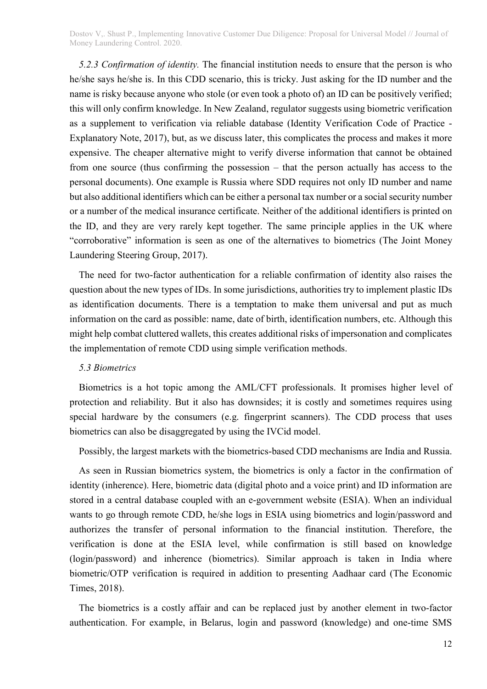5.2.3 Confirmation of identity. The financial institution needs to ensure that the person is who he/she says he/she is. In this CDD scenario, this is tricky. Just asking for the ID number and the name is risky because anyone who stole (or even took a photo of) an ID can be positively verified; this will only confirm knowledge. In New Zealand, regulator suggests using biometric verification as a supplement to verification via reliable database (Identity Verification Code of Practice - Explanatory Note, 2017), but, as we discuss later, this complicates the process and makes it more expensive. The cheaper alternative might to verify diverse information that cannot be obtained from one source (thus confirming the possession – that the person actually has access to the personal documents). One example is Russia where SDD requires not only ID number and name but also additional identifiers which can be either a personal tax number or a social security number or a number of the medical insurance certificate. Neither of the additional identifiers is printed on the ID, and they are very rarely kept together. The same principle applies in the UK where "corroborative" information is seen as one of the alternatives to biometrics (The Joint Money Laundering Steering Group, 2017).

The need for two-factor authentication for a reliable confirmation of identity also raises the question about the new types of IDs. In some jurisdictions, authorities try to implement plastic IDs as identification documents. There is a temptation to make them universal and put as much information on the card as possible: name, date of birth, identification numbers, etc. Although this might help combat cluttered wallets, this creates additional risks of impersonation and complicates the implementation of remote CDD using simple verification methods.

#### 5.3 Biometrics

Biometrics is a hot topic among the AML/CFT professionals. It promises higher level of protection and reliability. But it also has downsides; it is costly and sometimes requires using special hardware by the consumers (e.g. fingerprint scanners). The CDD process that uses biometrics can also be disaggregated by using the IVCid model.

Possibly, the largest markets with the biometrics-based CDD mechanisms are India and Russia.

As seen in Russian biometrics system, the biometrics is only a factor in the confirmation of identity (inherence). Here, biometric data (digital photo and a voice print) and ID information are stored in a central database coupled with an e-government website (ESIA). When an individual wants to go through remote CDD, he/she logs in ESIA using biometrics and login/password and authorizes the transfer of personal information to the financial institution. Therefore, the verification is done at the ESIA level, while confirmation is still based on knowledge (login/password) and inherence (biometrics). Similar approach is taken in India where biometric/OTP verification is required in addition to presenting Aadhaar card (The Economic Times, 2018).

The biometrics is a costly affair and can be replaced just by another element in two-factor authentication. For example, in Belarus, login and password (knowledge) and one-time SMS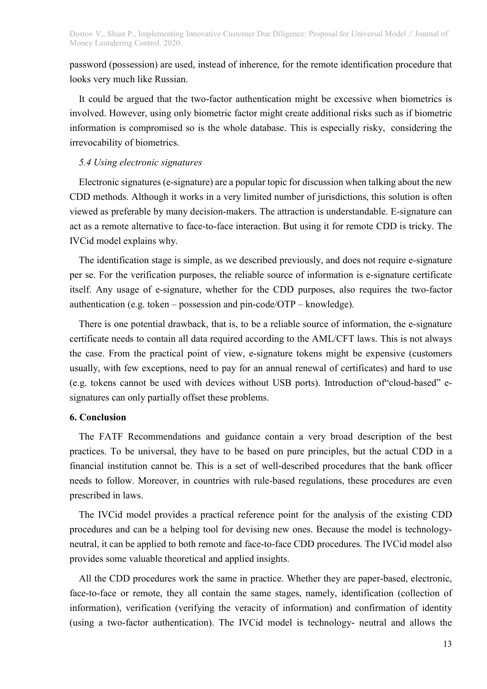password (possession) are used, instead of inherence, for the remote identification procedure that looks very much like Russian.

It could be argued that the two-factor authentication might be excessive when biometrics is involved. However, using only biometric factor might create additional risks such as if biometric information is compromised so is the whole database. This is especially risky, considering the irrevocability of biometrics.

#### 5.4 Using electronic signatures

Electronic signatures (e-signature) are a popular topic for discussion when talking about the new CDD methods. Although it works in a very limited number of jurisdictions, this solution is often viewed as preferable by many decision-makers. The attraction is understandable. E-signature can act as a remote alternative to face-to-face interaction. But using it for remote CDD is tricky. The IVCid model explains why.

The identification stage is simple, as we described previously, and does not require e-signature per se. For the verification purposes, the reliable source of information is e-signature certificate itself. Any usage of e-signature, whether for the CDD purposes, also requires the two-factor authentication (e.g. token – possession and pin-code/OTP – knowledge).

There is one potential drawback, that is, to be a reliable source of information, the e-signature certificate needs to contain all data required according to the AML/CFT laws. This is not always the case. From the practical point of view, e-signature tokens might be expensive (customers usually, with few exceptions, need to pay for an annual renewal of certificates) and hard to use (e.g. tokens cannot be used with devices without USB ports). Introduction of"cloud-based" esignatures can only partially offset these problems.

#### 6. Conclusion

The FATF Recommendations and guidance contain a very broad description of the best practices. To be universal, they have to be based on pure principles, but the actual CDD in a financial institution cannot be. This is a set of well-described procedures that the bank officer needs to follow. Moreover, in countries with rule-based regulations, these procedures are even prescribed in laws.

The IVCid model provides a practical reference point for the analysis of the existing CDD procedures and can be a helping tool for devising new ones. Because the model is technologyneutral, it can be applied to both remote and face-to-face CDD procedures. The IVCid model also provides some valuable theoretical and applied insights.

All the CDD procedures work the same in practice. Whether they are paper-based, electronic, face-to-face or remote, they all contain the same stages, namely, identification (collection of information), verification (verifying the veracity of information) and confirmation of identity (using a two-factor authentication). The IVCid model is technology- neutral and allows the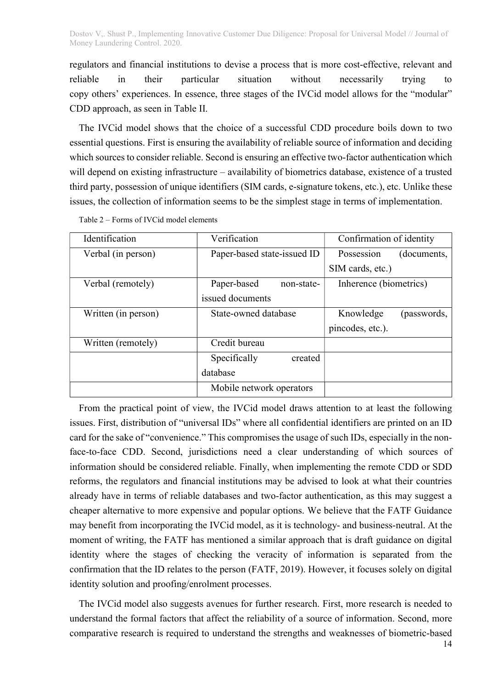regulators and financial institutions to devise a process that is more cost-effective, relevant and reliable in their particular situation without necessarily trying to copy others' experiences. In essence, three stages of the IVCid model allows for the "modular" CDD approach, as seen in Table II.

The IVCid model shows that the choice of a successful CDD procedure boils down to two essential questions. First is ensuring the availability of reliable source of information and deciding which sources to consider reliable. Second is ensuring an effective two-factor authentication which will depend on existing infrastructure – availability of biometrics database, existence of a trusted third party, possession of unique identifiers (SIM cards, e-signature tokens, etc.), etc. Unlike these issues, the collection of information seems to be the simplest stage in terms of implementation.

| Identification      | Verification                | Confirmation of identity  |  |
|---------------------|-----------------------------|---------------------------|--|
| Verbal (in person)  | Paper-based state-issued ID | Possession<br>(documents, |  |
|                     |                             | SIM cards, etc.)          |  |
| Verbal (remotely)   | Paper-based<br>non-state-   | Inherence (biometrics)    |  |
|                     | issued documents            |                           |  |
| Written (in person) | State-owned database        | Knowledge<br>(passwords,  |  |
|                     |                             | pincodes, etc.).          |  |
| Written (remotely)  | Credit bureau               |                           |  |
|                     | Specifically<br>created     |                           |  |
|                     | database                    |                           |  |
|                     | Mobile network operators    |                           |  |

Table 2 – Forms of IVCid model elements

From the practical point of view, the IVCid model draws attention to at least the following issues. First, distribution of "universal IDs" where all confidential identifiers are printed on an ID card for the sake of "convenience." This compromises the usage of such IDs, especially in the nonface-to-face CDD. Second, jurisdictions need a clear understanding of which sources of information should be considered reliable. Finally, when implementing the remote CDD or SDD reforms, the regulators and financial institutions may be advised to look at what their countries already have in terms of reliable databases and two-factor authentication, as this may suggest a cheaper alternative to more expensive and popular options. We believe that the FATF Guidance may benefit from incorporating the IVCid model, as it is technology- and business-neutral. At the moment of writing, the FATF has mentioned a similar approach that is draft guidance on digital identity where the stages of checking the veracity of information is separated from the confirmation that the ID relates to the person (FATF, 2019). However, it focuses solely on digital identity solution and proofing/enrolment processes.

The IVCid model also suggests avenues for further research. First, more research is needed to understand the formal factors that affect the reliability of a source of information. Second, more comparative research is required to understand the strengths and weaknesses of biometric-based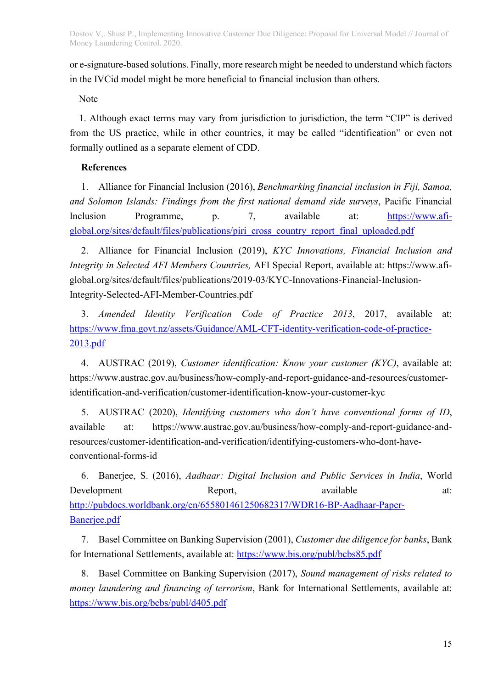or e-signature-based solutions. Finally, more research might be needed to understand which factors in the IVCid model might be more beneficial to financial inclusion than others.

Note

1. Although exact terms may vary from jurisdiction to jurisdiction, the term "CIP" is derived from the US practice, while in other countries, it may be called "identification" or even not formally outlined as a separate element of CDD.

# References

1. Alliance for Financial Inclusion (2016), Benchmarking financial inclusion in Fiji, Samoa, and Solomon Islands: Findings from the first national demand side surveys, Pacific Financial Inclusion Programme, p. 7, available at: https://www.afiglobal.org/sites/default/files/publications/piri\_cross\_country\_report\_final\_uploaded.pdf

2. Alliance for Financial Inclusion (2019), KYC Innovations, Financial Inclusion and Integrity in Selected AFI Members Countries, AFI Special Report, available at: https://www.afiglobal.org/sites/default/files/publications/2019-03/KYC-Innovations-Financial-Inclusion-Integrity-Selected-AFI-Member-Countries.pdf

3. Amended Identity Verification Code of Practice 2013, 2017, available at: https://www.fma.govt.nz/assets/Guidance/AML-CFT-identity-verification-code-of-practice-2013.pdf

4. AUSTRAC (2019), Customer identification: Know your customer (KYC), available at: https://www.austrac.gov.au/business/how-comply-and-report-guidance-and-resources/customeridentification-and-verification/customer-identification-know-your-customer-kyc

5. AUSTRAC (2020), Identifying customers who don't have conventional forms of ID, available at: https://www.austrac.gov.au/business/how-comply-and-report-guidance-andresources/customer-identification-and-verification/identifying-customers-who-dont-haveconventional-forms-id

6. Banerjee, S. (2016), Aadhaar: Digital Inclusion and Public Services in India, World Development Report, available at: http://pubdocs.worldbank.org/en/655801461250682317/WDR16-BP-Aadhaar-Paper-Banerjee.pdf

7. Basel Committee on Banking Supervision (2001), Customer due diligence for banks, Bank for International Settlements, available at: https://www.bis.org/publ/bcbs85.pdf

8. Basel Committee on Banking Supervision (2017), Sound management of risks related to money laundering and financing of terrorism, Bank for International Settlements, available at: https://www.bis.org/bcbs/publ/d405.pdf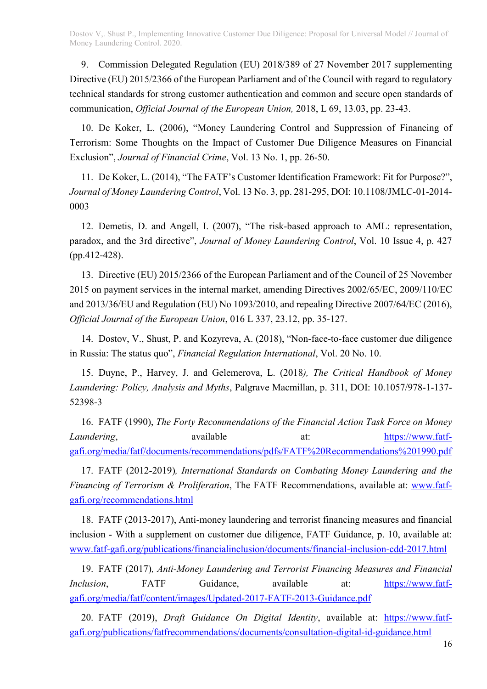9. Commission Delegated Regulation (EU) 2018/389 of 27 November 2017 supplementing Directive (EU) 2015/2366 of the European Parliament and of the Council with regard to regulatory technical standards for strong customer authentication and common and secure open standards of communication, Official Journal of the European Union, 2018, L 69, 13.03, pp. 23-43.

10. De Koker, L. (2006), "Money Laundering Control and Suppression of Financing of Terrorism: Some Thoughts on the Impact of Customer Due Diligence Measures on Financial Exclusion", Journal of Financial Crime, Vol. 13 No. 1, pp. 26-50.

11. De Koker, L. (2014), "The FATF's Customer Identification Framework: Fit for Purpose?", Journal of Money Laundering Control, Vol. 13 No. 3, pp. 281-295, DOI: 10.1108/JMLC-01-2014- 0003

12. Demetis, D. and Angell, I. (2007), "The risk-based approach to AML: representation, paradox, and the 3rd directive", Journal of Money Laundering Control, Vol. 10 Issue 4, p. 427 (pp.412-428).

13. Directive (EU) 2015/2366 of the European Parliament and of the Council of 25 November 2015 on payment services in the internal market, amending Directives 2002/65/EC, 2009/110/EC and 2013/36/EU and Regulation (EU) No 1093/2010, and repealing Directive 2007/64/EC (2016), Official Journal of the European Union, 016 L 337, 23.12, pp. 35-127.

14. Dostov, V., Shust, P. and Kozyreva, A. (2018), "Non-face-to-face customer due diligence in Russia: The status quo", Financial Regulation International, Vol. 20 No. 10.

15. Duyne, P., Harvey, J. and Gelemerova, L. (2018), The Critical Handbook of Money Laundering: Policy, Analysis and Myths, Palgrave Macmillan, p. 311, DOI: 10.1057/978-1-137- 52398-3

16. FATF (1990), The Forty Recommendations of the Financial Action Task Force on Money Laundering, available available at: https://www.fatfgafi.org/media/fatf/documents/recommendations/pdfs/FATF%20Recommendations%201990.pdf

17. FATF (2012-2019), International Standards on Combating Money Laundering and the Financing of Terrorism & Proliferation, The FATF Recommendations, available at: www.fatfgafi.org/recommendations.html

18. FATF (2013-2017), Anti-money laundering and terrorist financing measures and financial inclusion - With a supplement on customer due diligence, FATF Guidance, p. 10, available at: www.fatf-gafi.org/publications/financialinclusion/documents/financial-inclusion-cdd-2017.html

19. FATF (2017), Anti-Money Laundering and Terrorist Financing Measures and Financial Inclusion, FATF Guidance, available at: https://www.fatfgafi.org/media/fatf/content/images/Updated-2017-FATF-2013-Guidance.pdf

20. FATF (2019), Draft Guidance On Digital Identity, available at: https://www.fatfgafi.org/publications/fatfrecommendations/documents/consultation-digital-id-guidance.html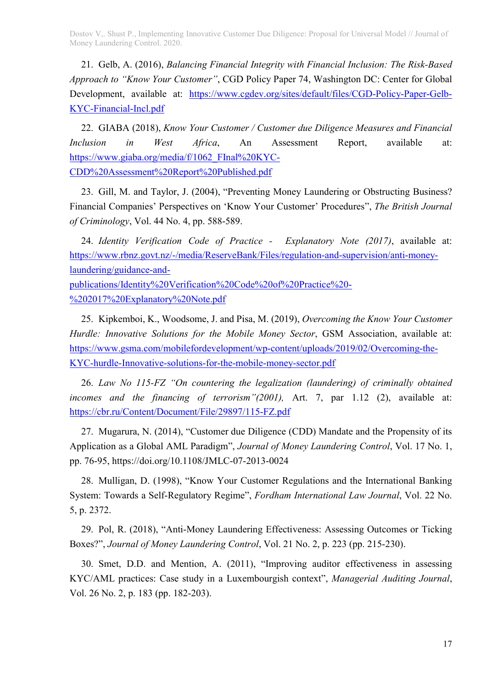21. Gelb, A. (2016), Balancing Financial Integrity with Financial Inclusion: The Risk-Based Approach to "Know Your Customer", CGD Policy Paper 74, Washington DC: Center for Global Development, available at: https://www.cgdev.org/sites/default/files/CGD-Policy-Paper-Gelb-KYC-Financial-Incl.pdf

22. GIABA (2018), Know Your Customer / Customer due Diligence Measures and Financial Inclusion in West Africa, An Assessment Report, available at: https://www.giaba.org/media/f/1062\_FInal%20KYC-CDD%20Assessment%20Report%20Published.pdf

23. Gill, M. and Taylor, J. (2004), "Preventing Money Laundering or Obstructing Business? Financial Companies' Perspectives on 'Know Your Customer' Procedures", The British Journal of Criminology, Vol. 44 No. 4, pp. 588-589.

24. Identity Verification Code of Practice - Explanatory Note (2017), available at: https://www.rbnz.govt.nz/-/media/ReserveBank/Files/regulation-and-supervision/anti-moneylaundering/guidance-and-

publications/Identity%20Verification%20Code%20of%20Practice%20- %202017%20Explanatory%20Note.pdf

25. Kipkemboi, K., Woodsome, J. and Pisa, M. (2019), Overcoming the Know Your Customer Hurdle: Innovative Solutions for the Mobile Money Sector, GSM Association, available at: https://www.gsma.com/mobilefordevelopment/wp-content/uploads/2019/02/Overcoming-the-KYC-hurdle-Innovative-solutions-for-the-mobile-money-sector.pdf

26. Law No 115-FZ "On countering the legalization (laundering) of criminally obtained incomes and the financing of terrorism"(2001), Art. 7, par 1.12 (2), available at: https://cbr.ru/Content/Document/File/29897/115-FZ.pdf

27. Mugarura, N. (2014), "Customer due Diligence (CDD) Mandate and the Propensity of its Application as a Global AML Paradigm", Journal of Money Laundering Control, Vol. 17 No. 1, pp. 76-95, https://doi.org/10.1108/JMLC-07-2013-0024

28. Mulligan, D. (1998), "Know Your Customer Regulations and the International Banking System: Towards a Self-Regulatory Regime", Fordham International Law Journal, Vol. 22 No. 5, p. 2372.

29. Pol, R. (2018), "Anti-Money Laundering Effectiveness: Assessing Outcomes or Ticking Boxes?", Journal of Money Laundering Control, Vol. 21 No. 2, p. 223 (pp. 215-230).

30. Smet, D.D. and Mention, A. (2011), "Improving auditor effectiveness in assessing KYC/AML practices: Case study in a Luxembourgish context", Managerial Auditing Journal, Vol. 26 No. 2, p. 183 (pp. 182-203).